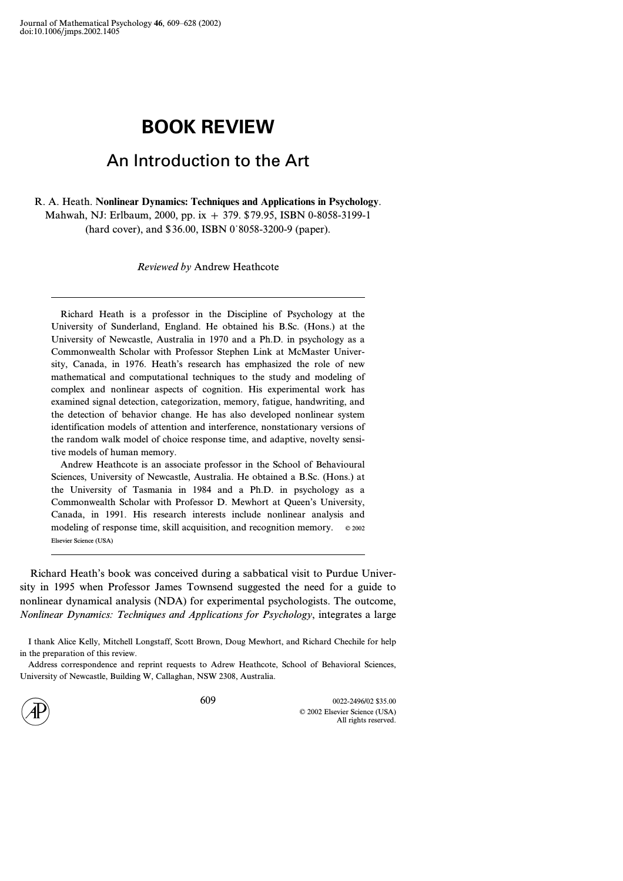## An Introduction to the Art

### R. A. Heath. **Nonlinear Dynamics: Techniques and Applications in Psychology**. Mahwah, NJ: Erlbaum, 2000, pp. ix + 379. \$79.95, ISBN 0-8058-3199-1 (hard cover), and \$36.00, ISBN 0˙8058-3200-9 (paper).

*Reviewed by* Andrew Heathcote

Richard Heath is a professor in the Discipline of Psychology at the University of Sunderland, England. He obtained his B.Sc. (Hons.) at the University of Newcastle, Australia in 1970 and a Ph.D. in psychology as a Commonwealth Scholar with Professor Stephen Link at McMaster University, Canada, in 1976. Heath's research has emphasized the role of new mathematical and computational techniques to the study and modeling of complex and nonlinear aspects of cognition. His experimental work has examined signal detection, categorization, memory, fatigue, handwriting, and the detection of behavior change. He has also developed nonlinear system identification models of attention and interference, nonstationary versions of the random walk model of choice response time, and adaptive, novelty sensitive models of human memory.

Andrew Heathcote is an associate professor in the School of Behavioural Sciences, University of Newcastle, Australia. He obtained a B.Sc. (Hons.) at the University of Tasmania in 1984 and a Ph.D. in psychology as a Commonwealth Scholar with Professor D. Mewhort at Queen's University, Canada, in 1991. His research interests include nonlinear analysis and modeling of response time, skill acquisition, and recognition memory. © 2002 Elsevier Science (USA)

Richard Heath's book was conceived during a sabbatical visit to Purdue University in 1995 when Professor James Townsend suggested the need for a guide to nonlinear dynamical analysis (NDA) for experimental psychologists. The outcome, *Nonlinear Dynamics: Techniques and Applications for Psychology*, integrates a large

I thank Alice Kelly, Mitchell Longstaff, Scott Brown, Doug Mewhort, and Richard Chechile for help in the preparation of this review.

Address correspondence and reprint requests to Adrew Heathcote, School of Behavioral Sciences, University of Newcastle, Building W, Callaghan, NSW 2308, Australia.

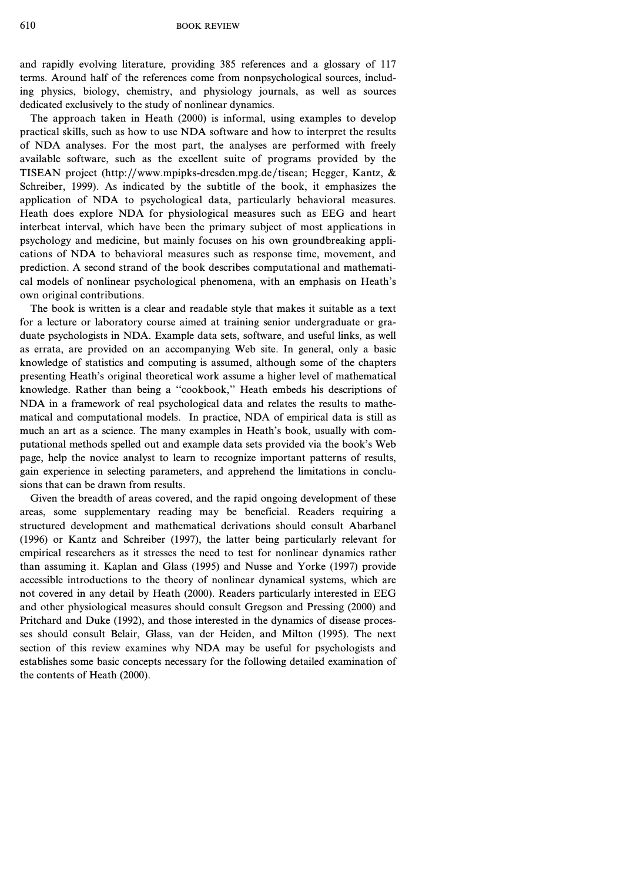and rapidly evolving literature, providing 385 references and a glossary of 117 terms. Around half of the references come from nonpsychological sources, including physics, biology, chemistry, and physiology journals, as well as sources dedicated exclusively to the study of nonlinear dynamics.

The approach taken in Heath (2000) is informal, using examples to develop practical skills, such as how to use NDA software and how to interpret the results of NDA analyses. For the most part, the analyses are performed with freely available software, such as the excellent suite of programs provided by the TISEAN project (http://www.mpipks-dresden.mpg.de/tisean; Hegger, Kantz, & Schreiber, 1999). As indicated by the subtitle of the book, it emphasizes the application of NDA to psychological data, particularly behavioral measures. Heath does explore NDA for physiological measures such as EEG and heart interbeat interval, which have been the primary subject of most applications in psychology and medicine, but mainly focuses on his own groundbreaking applications of NDA to behavioral measures such as response time, movement, and prediction. A second strand of the book describes computational and mathematical models of nonlinear psychological phenomena, with an emphasis on Heath's own original contributions.

The book is written is a clear and readable style that makes it suitable as a text for a lecture or laboratory course aimed at training senior undergraduate or graduate psychologists in NDA. Example data sets, software, and useful links, as well as errata, are provided on an accompanying Web site. In general, only a basic knowledge of statistics and computing is assumed, although some of the chapters presenting Heath's original theoretical work assume a higher level of mathematical knowledge. Rather than being a ''cookbook,'' Heath embeds his descriptions of NDA in a framework of real psychological data and relates the results to mathematical and computational models. In practice, NDA of empirical data is still as much an art as a science. The many examples in Heath's book, usually with computational methods spelled out and example data sets provided via the book's Web page, help the novice analyst to learn to recognize important patterns of results, gain experience in selecting parameters, and apprehend the limitations in conclusions that can be drawn from results.

Given the breadth of areas covered, and the rapid ongoing development of these areas, some supplementary reading may be beneficial. Readers requiring a structured development and mathematical derivations should consult Abarbanel (1996) or Kantz and Schreiber (1997), the latter being particularly relevant for empirical researchers as it stresses the need to test for nonlinear dynamics rather than assuming it. Kaplan and Glass (1995) and Nusse and Yorke (1997) provide accessible introductions to the theory of nonlinear dynamical systems, which are not covered in any detail by Heath (2000). Readers particularly interested in EEG and other physiological measures should consult Gregson and Pressing (2000) and Pritchard and Duke (1992), and those interested in the dynamics of disease processes should consult Belair, Glass, van der Heiden, and Milton (1995). The next section of this review examines why NDA may be useful for psychologists and establishes some basic concepts necessary for the following detailed examination of the contents of Heath (2000).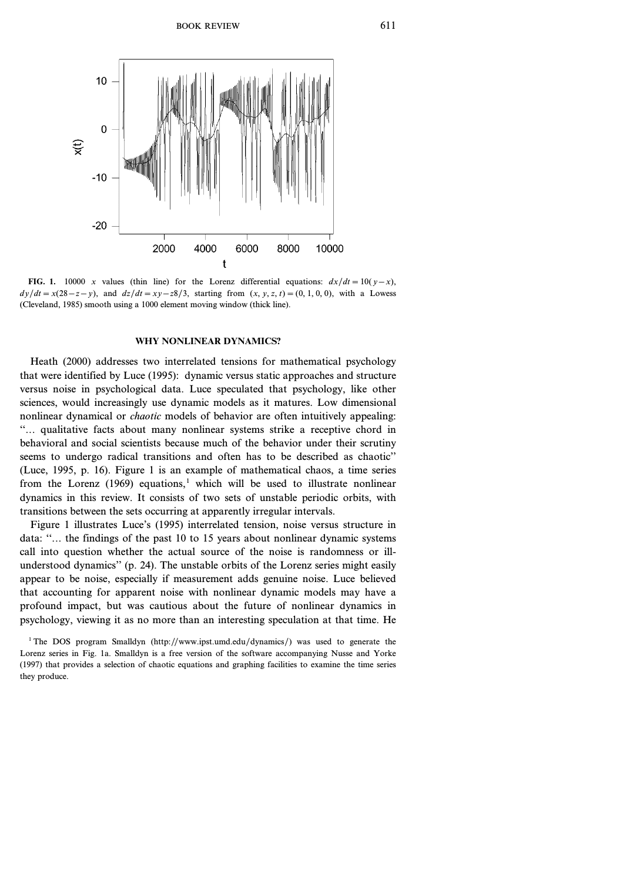

**FIG. 1.** 10000 *x* values (thin line) for the Lorenz differential equations:  $dx/dt = 10(y - x)$ ,  $dy/dt = x(28 - z - y)$ , and  $dz/dt = xy - z8/3$ , starting from  $(x, y, z, t) = (0, 1, 0, 0)$ , with a Lowess (Cleveland, 1985) smooth using a 1000 element moving window (thick line).

#### **WHY NONLINEAR DYNAMICS?**

Heath (2000) addresses two interrelated tensions for mathematical psychology that were identified by Luce (1995): dynamic versus static approaches and structure versus noise in psychological data. Luce speculated that psychology, like other sciences, would increasingly use dynamic models as it matures. Low dimensional nonlinear dynamical or *chaotic* models of behavior are often intuitively appealing: ''... qualitative facts about many nonlinear systems strike a receptive chord in behavioral and social scientists because much of the behavior under their scrutiny seems to undergo radical transitions and often has to be described as chaotic'' (Luce, 1995, p. 16). Figure 1 is an example of mathematical chaos, a time series from the Lorenz  $(1969)$  equations,<sup>1</sup> which will be used to illustrate nonlinear dynamics in this review. It consists of two sets of unstable periodic orbits, with transitions between the sets occurring at apparently irregular intervals.

Figure 1 illustrates Luce's (1995) interrelated tension, noise versus structure in data: ''... the findings of the past 10 to 15 years about nonlinear dynamic systems call into question whether the actual source of the noise is randomness or illunderstood dynamics'' (p. 24). The unstable orbits of the Lorenz series might easily appear to be noise, especially if measurement adds genuine noise. Luce believed that accounting for apparent noise with nonlinear dynamic models may have a profound impact, but was cautious about the future of nonlinear dynamics in psychology, viewing it as no more than an interesting speculation at that time. He

<sup>1</sup> The DOS program Smalldyn (http://www.ipst.umd.edu/dynamics/) was used to generate the Lorenz series in Fig. 1a. Smalldyn is a free version of the software accompanying Nusse and Yorke (1997) that provides a selection of chaotic equations and graphing facilities to examine the time series they produce.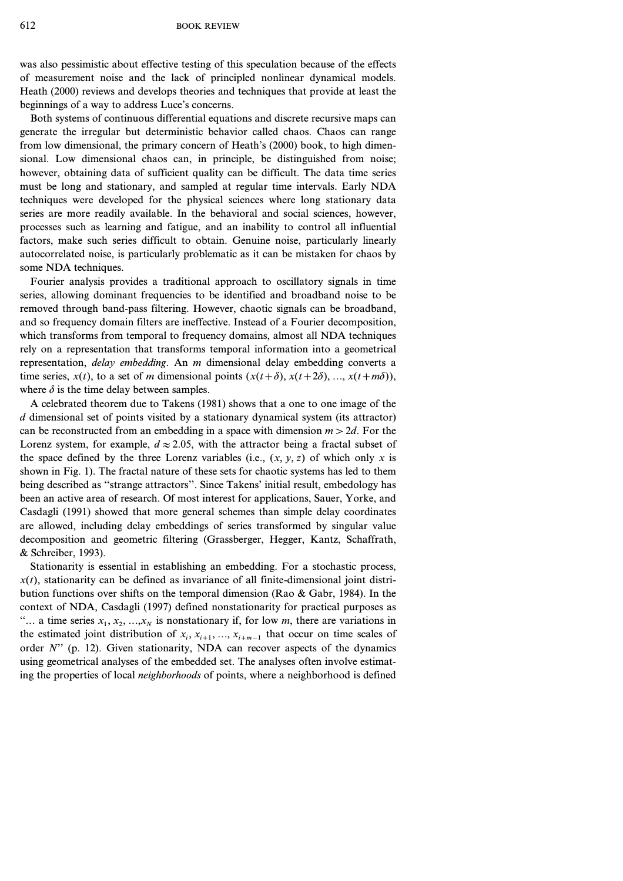was also pessimistic about effective testing of this speculation because of the effects of measurement noise and the lack of principled nonlinear dynamical models. Heath (2000) reviews and develops theories and techniques that provide at least the beginnings of a way to address Luce's concerns.

Both systems of continuous differential equations and discrete recursive maps can generate the irregular but deterministic behavior called chaos. Chaos can range from low dimensional, the primary concern of Heath's (2000) book, to high dimensional. Low dimensional chaos can, in principle, be distinguished from noise; however, obtaining data of sufficient quality can be difficult. The data time series must be long and stationary, and sampled at regular time intervals. Early NDA techniques were developed for the physical sciences where long stationary data series are more readily available. In the behavioral and social sciences, however, processes such as learning and fatigue, and an inability to control all influential factors, make such series difficult to obtain. Genuine noise, particularly linearly autocorrelated noise, is particularly problematic as it can be mistaken for chaos by some NDA techniques.

Fourier analysis provides a traditional approach to oscillatory signals in time series, allowing dominant frequencies to be identified and broadband noise to be removed through band-pass filtering. However, chaotic signals can be broadband, and so frequency domain filters are ineffective. Instead of a Fourier decomposition, which transforms from temporal to frequency domains, almost all NDA techniques rely on a representation that transforms temporal information into a geometrical representation, *delay embedding*. An *m* dimensional delay embedding converts a time series,  $x(t)$ , to a set of *m* dimensional points  $(x(t+\delta), x(t+2\delta), ..., x(t+m\delta))$ , where  $\delta$  is the time delay between samples.

A celebrated theorem due to Takens (1981) shows that a one to one image of the *d* dimensional set of points visited by a stationary dynamical system (its attractor) can be reconstructed from an embedding in a space with dimension  $m > 2d$ . For the Lorenz system, for example,  $d \approx 2.05$ , with the attractor being a fractal subset of the space defined by the three Lorenz variables (i.e.,  $(x, y, z)$  of which only x is shown in Fig. 1). The fractal nature of these sets for chaotic systems has led to them being described as ''strange attractors''. Since Takens' initial result, embedology has been an active area of research. Of most interest for applications, Sauer, Yorke, and Casdagli (1991) showed that more general schemes than simple delay coordinates are allowed, including delay embeddings of series transformed by singular value decomposition and geometric filtering (Grassberger, Hegger, Kantz, Schaffrath, & Schreiber, 1993).

Stationarity is essential in establishing an embedding. For a stochastic process,  $x(t)$ , stationarity can be defined as invariance of all finite-dimensional joint distribution functions over shifts on the temporal dimension (Rao & Gabr, 1984). In the context of NDA, Casdagli (1997) defined nonstationarity for practical purposes as "... a time series  $x_1, x_2, \ldots, x_N$  is nonstationary if, for low *m*, there are variations in the estimated joint distribution of  $x_i, x_{i+1}, ..., x_{i+m-1}$  that occur on time scales of order *N*'' (p. 12). Given stationarity, NDA can recover aspects of the dynamics using geometrical analyses of the embedded set. The analyses often involve estimating the properties of local *neighborhoods* of points, where a neighborhood is defined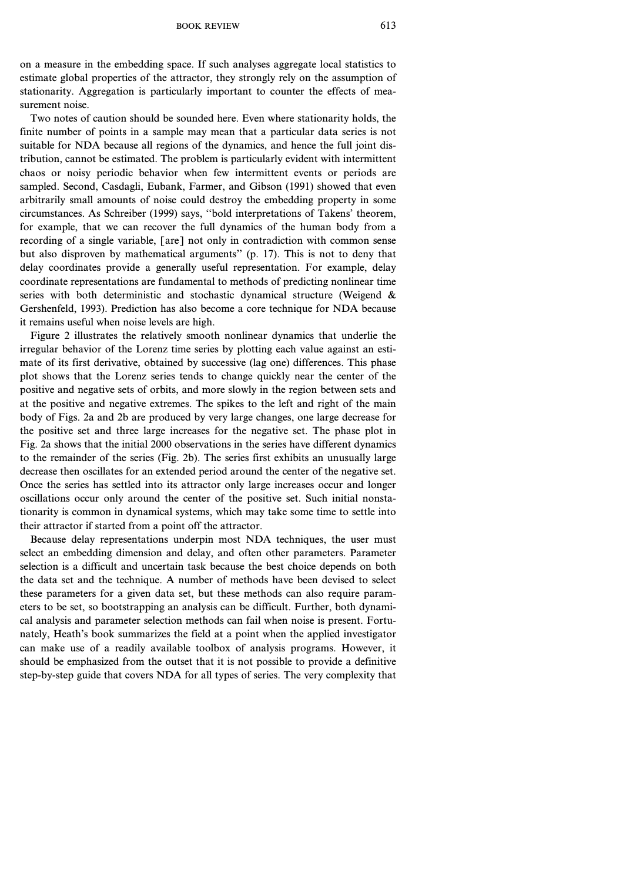on a measure in the embedding space. If such analyses aggregate local statistics to estimate global properties of the attractor, they strongly rely on the assumption of stationarity. Aggregation is particularly important to counter the effects of measurement noise.

Two notes of caution should be sounded here. Even where stationarity holds, the finite number of points in a sample may mean that a particular data series is not suitable for NDA because all regions of the dynamics, and hence the full joint distribution, cannot be estimated. The problem is particularly evident with intermittent chaos or noisy periodic behavior when few intermittent events or periods are sampled. Second, Casdagli, Eubank, Farmer, and Gibson (1991) showed that even arbitrarily small amounts of noise could destroy the embedding property in some circumstances. As Schreiber (1999) says, ''bold interpretations of Takens' theorem, for example, that we can recover the full dynamics of the human body from a recording of a single variable, [are] not only in contradiction with common sense but also disproven by mathematical arguments'' (p. 17). This is not to deny that delay coordinates provide a generally useful representation. For example, delay coordinate representations are fundamental to methods of predicting nonlinear time series with both deterministic and stochastic dynamical structure (Weigend & Gershenfeld, 1993). Prediction has also become a core technique for NDA because it remains useful when noise levels are high.

Figure 2 illustrates the relatively smooth nonlinear dynamics that underlie the irregular behavior of the Lorenz time series by plotting each value against an estimate of its first derivative, obtained by successive (lag one) differences. This phase plot shows that the Lorenz series tends to change quickly near the center of the positive and negative sets of orbits, and more slowly in the region between sets and at the positive and negative extremes. The spikes to the left and right of the main body of Figs. 2a and 2b are produced by very large changes, one large decrease for the positive set and three large increases for the negative set. The phase plot in Fig. 2a shows that the initial 2000 observations in the series have different dynamics to the remainder of the series (Fig. 2b). The series first exhibits an unusually large decrease then oscillates for an extended period around the center of the negative set. Once the series has settled into its attractor only large increases occur and longer oscillations occur only around the center of the positive set. Such initial nonstationarity is common in dynamical systems, which may take some time to settle into their attractor if started from a point off the attractor.

Because delay representations underpin most NDA techniques, the user must select an embedding dimension and delay, and often other parameters. Parameter selection is a difficult and uncertain task because the best choice depends on both the data set and the technique. A number of methods have been devised to select these parameters for a given data set, but these methods can also require parameters to be set, so bootstrapping an analysis can be difficult. Further, both dynamical analysis and parameter selection methods can fail when noise is present. Fortunately, Heath's book summarizes the field at a point when the applied investigator can make use of a readily available toolbox of analysis programs. However, it should be emphasized from the outset that it is not possible to provide a definitive step-by-step guide that covers NDA for all types of series. The very complexity that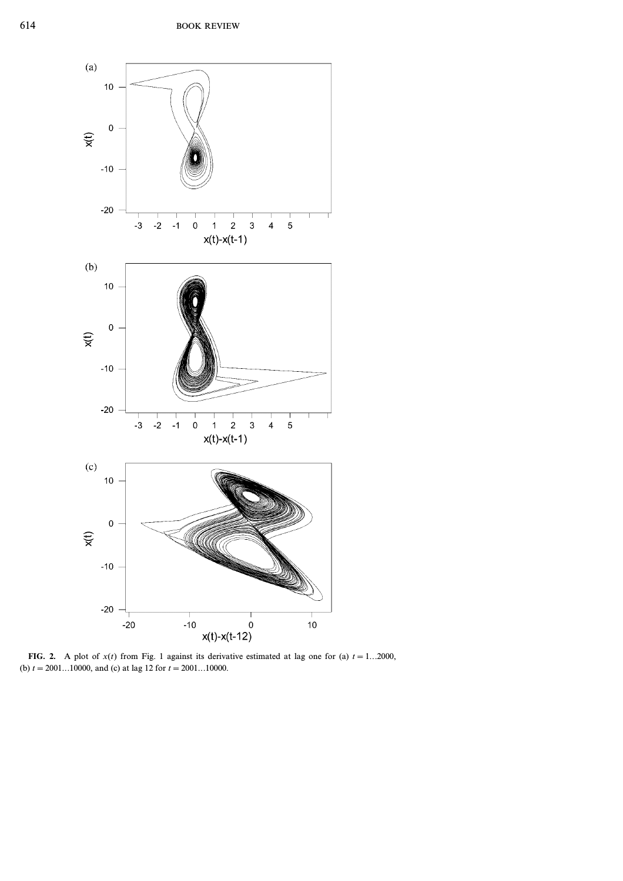

**FIG. 2.** A plot of  $x(t)$  from Fig. 1 against its derivative estimated at lag one for (a)  $t = 1...2000$ , (b) *t=2001...10000*, and (c) at lag 12 for *t=2001...10000*.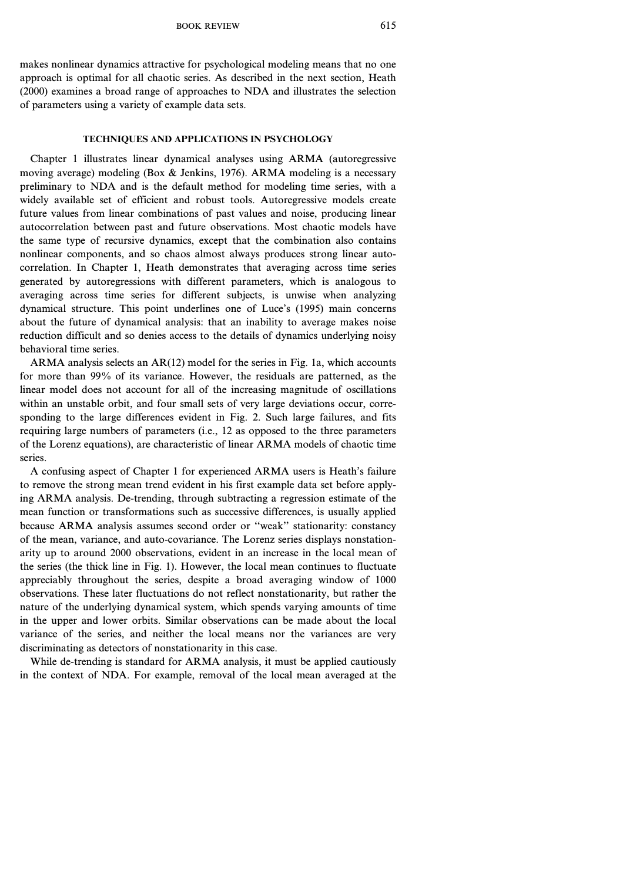makes nonlinear dynamics attractive for psychological modeling means that no one approach is optimal for all chaotic series. As described in the next section, Heath (2000) examines a broad range of approaches to NDA and illustrates the selection of parameters using a variety of example data sets.

#### **TECHNIQUES AND APPLICATIONS IN PSYCHOLOGY**

Chapter 1 illustrates linear dynamical analyses using ARMA (autoregressive moving average) modeling (Box & Jenkins, 1976). ARMA modeling is a necessary preliminary to NDA and is the default method for modeling time series, with a widely available set of efficient and robust tools. Autoregressive models create future values from linear combinations of past values and noise, producing linear autocorrelation between past and future observations. Most chaotic models have the same type of recursive dynamics, except that the combination also contains nonlinear components, and so chaos almost always produces strong linear autocorrelation. In Chapter 1, Heath demonstrates that averaging across time series generated by autoregressions with different parameters, which is analogous to averaging across time series for different subjects, is unwise when analyzing dynamical structure. This point underlines one of Luce's (1995) main concerns about the future of dynamical analysis: that an inability to average makes noise reduction difficult and so denies access to the details of dynamics underlying noisy behavioral time series.

ARMA analysis selects an  $AR(12)$  model for the series in Fig. 1a, which accounts for more than 99% of its variance. However, the residuals are patterned, as the linear model does not account for all of the increasing magnitude of oscillations within an unstable orbit, and four small sets of very large deviations occur, corresponding to the large differences evident in Fig. 2. Such large failures, and fits requiring large numbers of parameters (i.e., 12 as opposed to the three parameters of the Lorenz equations), are characteristic of linear ARMA models of chaotic time series.

A confusing aspect of Chapter 1 for experienced ARMA users is Heath's failure to remove the strong mean trend evident in his first example data set before applying ARMA analysis. De-trending, through subtracting a regression estimate of the mean function or transformations such as successive differences, is usually applied because ARMA analysis assumes second order or ''weak'' stationarity: constancy of the mean, variance, and auto-covariance. The Lorenz series displays nonstationarity up to around 2000 observations, evident in an increase in the local mean of the series (the thick line in Fig. 1). However, the local mean continues to fluctuate appreciably throughout the series, despite a broad averaging window of 1000 observations. These later fluctuations do not reflect nonstationarity, but rather the nature of the underlying dynamical system, which spends varying amounts of time in the upper and lower orbits. Similar observations can be made about the local variance of the series, and neither the local means nor the variances are very discriminating as detectors of nonstationarity in this case.

While de-trending is standard for ARMA analysis, it must be applied cautiously in the context of NDA. For example, removal of the local mean averaged at the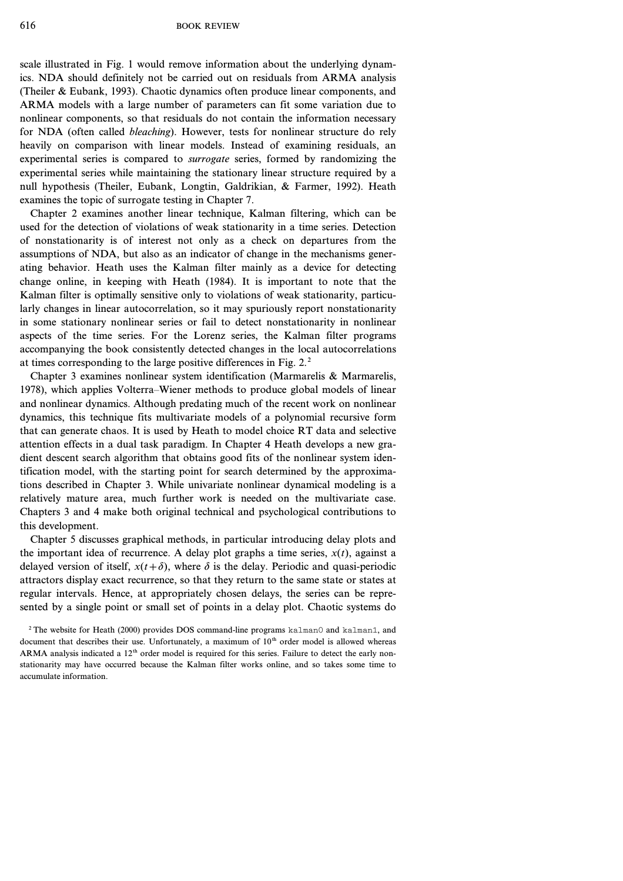scale illustrated in Fig. 1 would remove information about the underlying dynamics. NDA should definitely not be carried out on residuals from ARMA analysis (Theiler & Eubank, 1993). Chaotic dynamics often produce linear components, and ARMA models with a large number of parameters can fit some variation due to nonlinear components, so that residuals do not contain the information necessary for NDA (often called *bleaching*). However, tests for nonlinear structure do rely heavily on comparison with linear models. Instead of examining residuals, an experimental series is compared to *surrogate* series, formed by randomizing the experimental series while maintaining the stationary linear structure required by a null hypothesis (Theiler, Eubank, Longtin, Galdrikian, & Farmer, 1992). Heath examines the topic of surrogate testing in Chapter 7.

Chapter 2 examines another linear technique, Kalman filtering, which can be used for the detection of violations of weak stationarity in a time series. Detection of nonstationarity is of interest not only as a check on departures from the assumptions of NDA, but also as an indicator of change in the mechanisms generating behavior. Heath uses the Kalman filter mainly as a device for detecting change online, in keeping with Heath (1984). It is important to note that the Kalman filter is optimally sensitive only to violations of weak stationarity, particularly changes in linear autocorrelation, so it may spuriously report nonstationarity in some stationary nonlinear series or fail to detect nonstationarity in nonlinear aspects of the time series. For the Lorenz series, the Kalman filter programs accompanying the book consistently detected changes in the local autocorrelations at times corresponding to the large positive differences in Fig.  $2<sup>2</sup>$ .

Chapter 3 examines nonlinear system identification (Marmarelis & Marmarelis, 1978), which applies Volterra–Wiener methods to produce global models of linear and nonlinear dynamics. Although predating much of the recent work on nonlinear dynamics, this technique fits multivariate models of a polynomial recursive form that can generate chaos. It is used by Heath to model choice RT data and selective attention effects in a dual task paradigm. In Chapter 4 Heath develops a new gradient descent search algorithm that obtains good fits of the nonlinear system identification model, with the starting point for search determined by the approximations described in Chapter 3. While univariate nonlinear dynamical modeling is a relatively mature area, much further work is needed on the multivariate case. Chapters 3 and 4 make both original technical and psychological contributions to this development.

Chapter 5 discusses graphical methods, in particular introducing delay plots and the important idea of recurrence. A delay plot graphs a time series,  $x(t)$ , against a delayed version of itself,  $x(t+\delta)$ , where  $\delta$  is the delay. Periodic and quasi-periodic attractors display exact recurrence, so that they return to the same state or states at regular intervals. Hence, at appropriately chosen delays, the series can be represented by a single point or small set of points in a delay plot. Chaotic systems do

<sup>2</sup> The website for Heath (2000) provides DOS command-line programs kalman0 and kalman1, and document that describes their use. Unfortunately, a maximum of  $10<sup>th</sup>$  order model is allowed whereas ARMA analysis indicated a  $12<sup>th</sup>$  order model is required for this series. Failure to detect the early nonstationarity may have occurred because the Kalman filter works online, and so takes some time to accumulate information.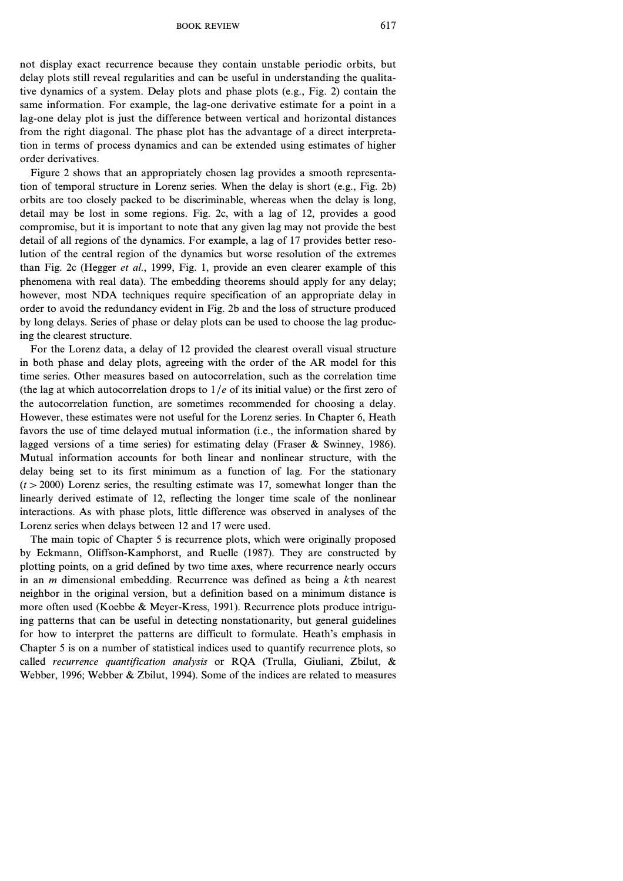not display exact recurrence because they contain unstable periodic orbits, but delay plots still reveal regularities and can be useful in understanding the qualitative dynamics of a system. Delay plots and phase plots (e.g., Fig. 2) contain the same information. For example, the lag-one derivative estimate for a point in a lag-one delay plot is just the difference between vertical and horizontal distances from the right diagonal. The phase plot has the advantage of a direct interpretation in terms of process dynamics and can be extended using estimates of higher order derivatives.

Figure 2 shows that an appropriately chosen lag provides a smooth representation of temporal structure in Lorenz series. When the delay is short (e.g., Fig. 2b) orbits are too closely packed to be discriminable, whereas when the delay is long, detail may be lost in some regions. Fig. 2c, with a lag of 12, provides a good compromise, but it is important to note that any given lag may not provide the best detail of all regions of the dynamics. For example, a lag of 17 provides better resolution of the central region of the dynamics but worse resolution of the extremes than Fig. 2c (Hegger *et al.*, 1999, Fig. 1, provide an even clearer example of this phenomena with real data). The embedding theorems should apply for any delay; however, most NDA techniques require specification of an appropriate delay in order to avoid the redundancy evident in Fig. 2b and the loss of structure produced by long delays. Series of phase or delay plots can be used to choose the lag producing the clearest structure.

For the Lorenz data, a delay of 12 provided the clearest overall visual structure in both phase and delay plots, agreeing with the order of the AR model for this time series. Other measures based on autocorrelation, such as the correlation time (the lag at which autocorrelation drops to *1/e* of its initial value) or the first zero of the autocorrelation function, are sometimes recommended for choosing a delay. However, these estimates were not useful for the Lorenz series. In Chapter 6, Heath favors the use of time delayed mutual information (i.e., the information shared by lagged versions of a time series) for estimating delay (Fraser & Swinney, 1986). Mutual information accounts for both linear and nonlinear structure, with the delay being set to its first minimum as a function of lag. For the stationary  $(t > 2000)$  Lorenz series, the resulting estimate was 17, somewhat longer than the linearly derived estimate of 12, reflecting the longer time scale of the nonlinear interactions. As with phase plots, little difference was observed in analyses of the Lorenz series when delays between 12 and 17 were used.

The main topic of Chapter 5 is recurrence plots, which were originally proposed by Eckmann, Oliffson-Kamphorst, and Ruelle (1987). They are constructed by plotting points, on a grid defined by two time axes, where recurrence nearly occurs in an *m* dimensional embedding. Recurrence was defined as being a *k*th nearest neighbor in the original version, but a definition based on a minimum distance is more often used (Koebbe & Meyer-Kress, 1991). Recurrence plots produce intriguing patterns that can be useful in detecting nonstationarity, but general guidelines for how to interpret the patterns are difficult to formulate. Heath's emphasis in Chapter 5 is on a number of statistical indices used to quantify recurrence plots, so called *recurrence quantification analysis* or RQA (Trulla, Giuliani, Zbilut, & Webber, 1996; Webber & Zbilut, 1994). Some of the indices are related to measures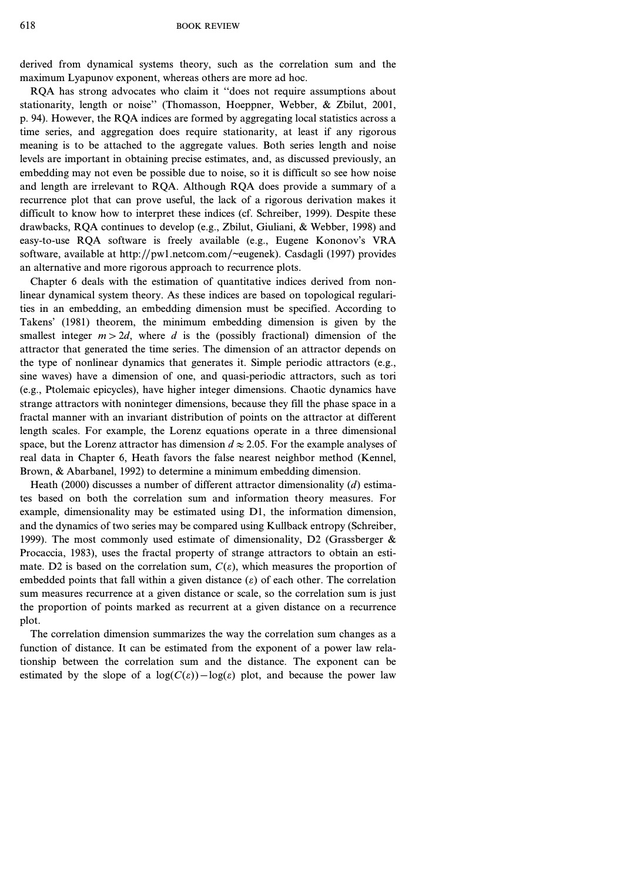derived from dynamical systems theory, such as the correlation sum and the maximum Lyapunov exponent, whereas others are more ad hoc.

RQA has strong advocates who claim it ''does not require assumptions about stationarity, length or noise'' (Thomasson, Hoeppner, Webber, & Zbilut, 2001, p. 94). However, the RQA indices are formed by aggregating local statistics across a time series, and aggregation does require stationarity, at least if any rigorous meaning is to be attached to the aggregate values. Both series length and noise levels are important in obtaining precise estimates, and, as discussed previously, an embedding may not even be possible due to noise, so it is difficult so see how noise and length are irrelevant to RQA. Although RQA does provide a summary of a recurrence plot that can prove useful, the lack of a rigorous derivation makes it difficult to know how to interpret these indices (cf. Schreiber, 1999). Despite these drawbacks, RQA continues to develop (e.g., Zbilut, Giuliani, & Webber, 1998) and easy-to-use RQA software is freely available (e.g., Eugene Kononov's VRA software, available at http://pw1.netcom.com/~eugenek). Casdagli (1997) provides an alternative and more rigorous approach to recurrence plots.

Chapter 6 deals with the estimation of quantitative indices derived from nonlinear dynamical system theory. As these indices are based on topological regularities in an embedding, an embedding dimension must be specified. According to Takens' (1981) theorem, the minimum embedding dimension is given by the smallest integer  $m > 2d$ , where *d* is the (possibly fractional) dimension of the attractor that generated the time series. The dimension of an attractor depends on the type of nonlinear dynamics that generates it. Simple periodic attractors (e.g., sine waves) have a dimension of one, and quasi-periodic attractors, such as tori (e.g., Ptolemaic epicycles), have higher integer dimensions. Chaotic dynamics have strange attractors with noninteger dimensions, because they fill the phase space in a fractal manner with an invariant distribution of points on the attractor at different length scales. For example, the Lorenz equations operate in a three dimensional space, but the Lorenz attractor has dimension  $d \approx 2.05$ . For the example analyses of real data in Chapter 6, Heath favors the false nearest neighbor method (Kennel, Brown, & Abarbanel, 1992) to determine a minimum embedding dimension.

Heath (2000) discusses a number of different attractor dimensionality (*d*) estimates based on both the correlation sum and information theory measures. For example, dimensionality may be estimated using D1, the information dimension, and the dynamics of two series may be compared using Kullback entropy (Schreiber, 1999). The most commonly used estimate of dimensionality,  $D2$  (Grassberger  $\&$ Procaccia, 1983), uses the fractal property of strange attractors to obtain an estimate. D2 is based on the correlation sum,  $C(\varepsilon)$ , which measures the proportion of embedded points that fall within a given distance  $(e)$  of each other. The correlation sum measures recurrence at a given distance or scale, so the correlation sum is just the proportion of points marked as recurrent at a given distance on a recurrence plot.

The correlation dimension summarizes the way the correlation sum changes as a function of distance. It can be estimated from the exponent of a power law relationship between the correlation sum and the distance. The exponent can be estimated by the slope of a  $log(C(\varepsilon)) - log(\varepsilon)$  plot, and because the power law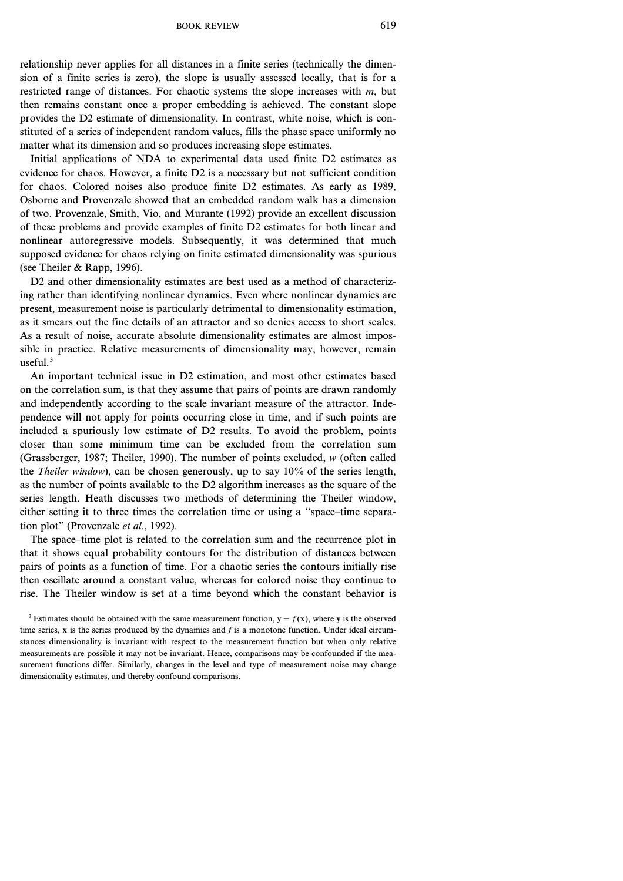relationship never applies for all distances in a finite series (technically the dimension of a finite series is zero), the slope is usually assessed locally, that is for a restricted range of distances. For chaotic systems the slope increases with *m*, but then remains constant once a proper embedding is achieved. The constant slope provides the D2 estimate of dimensionality. In contrast, white noise, which is constituted of a series of independent random values, fills the phase space uniformly no matter what its dimension and so produces increasing slope estimates.

Initial applications of NDA to experimental data used finite D2 estimates as evidence for chaos. However, a finite D2 is a necessary but not sufficient condition for chaos. Colored noises also produce finite D2 estimates. As early as 1989, Osborne and Provenzale showed that an embedded random walk has a dimension of two. Provenzale, Smith, Vio, and Murante (1992) provide an excellent discussion of these problems and provide examples of finite D2 estimates for both linear and nonlinear autoregressive models. Subsequently, it was determined that much supposed evidence for chaos relying on finite estimated dimensionality was spurious (see Theiler & Rapp, 1996).

D2 and other dimensionality estimates are best used as a method of characterizing rather than identifying nonlinear dynamics. Even where nonlinear dynamics are present, measurement noise is particularly detrimental to dimensionality estimation, as it smears out the fine details of an attractor and so denies access to short scales. As a result of noise, accurate absolute dimensionality estimates are almost impossible in practice. Relative measurements of dimensionality may, however, remain useful.<sup>3</sup>

An important technical issue in D2 estimation, and most other estimates based on the correlation sum, is that they assume that pairs of points are drawn randomly and independently according to the scale invariant measure of the attractor. Independence will not apply for points occurring close in time, and if such points are included a spuriously low estimate of D2 results. To avoid the problem, points closer than some minimum time can be excluded from the correlation sum (Grassberger, 1987; Theiler, 1990). The number of points excluded, *w* (often called the *Theiler window*), can be chosen generously, up to say 10% of the series length, as the number of points available to the D2 algorithm increases as the square of the series length. Heath discusses two methods of determining the Theiler window, either setting it to three times the correlation time or using a ''space–time separation plot'' (Provenzale *et al.*, 1992).

The space–time plot is related to the correlation sum and the recurrence plot in that it shows equal probability contours for the distribution of distances between pairs of points as a function of time. For a chaotic series the contours initially rise then oscillate around a constant value, whereas for colored noise they continue to rise. The Theiler window is set at a time beyond which the constant behavior is

<sup>&</sup>lt;sup>3</sup> Estimates should be obtained with the same measurement function,  $\mathbf{y} = f(\mathbf{x})$ , where **y** is the observed time series, **x** is the series produced by the dynamics and *f* is a monotone function. Under ideal circumstances dimensionality is invariant with respect to the measurement function but when only relative measurements are possible it may not be invariant. Hence, comparisons may be confounded if the measurement functions differ. Similarly, changes in the level and type of measurement noise may change dimensionality estimates, and thereby confound comparisons.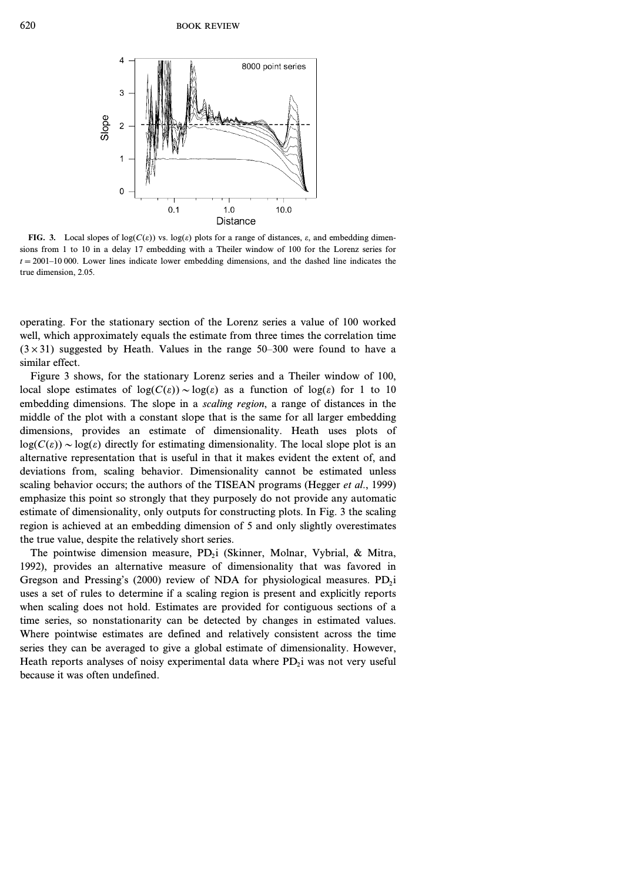

**FIG. 3.** Local slopes of  $log(C(\varepsilon))$  vs.  $log(\varepsilon)$  plots for a range of distances,  $\varepsilon$ , and embedding dimensions from 1 to 10 in a delay 17 embedding with a Theiler window of 100 for the Lorenz series for  $t=2001-10000$ . Lower lines indicate lower embedding dimensions, and the dashed line indicates the true dimension, 2.05.

operating. For the stationary section of the Lorenz series a value of 100 worked well, which approximately equals the estimate from three times the correlation time  $(3 \times 31)$  suggested by Heath. Values in the range 50–300 were found to have a similar effect.

Figure 3 shows, for the stationary Lorenz series and a Theiler window of 100, local slope estimates of  $log(C(\varepsilon)) \sim log(\varepsilon)$  as a function of  $log(\varepsilon)$  for 1 to 10 embedding dimensions. The slope in a *scaling region*, a range of distances in the middle of the plot with a constant slope that is the same for all larger embedding dimensions, provides an estimate of dimensionality. Heath uses plots of  $log(C(\varepsilon)) \sim log(\varepsilon)$  directly for estimating dimensionality. The local slope plot is an alternative representation that is useful in that it makes evident the extent of, and deviations from, scaling behavior. Dimensionality cannot be estimated unless scaling behavior occurs; the authors of the TISEAN programs (Hegger *et al.*, 1999) emphasize this point so strongly that they purposely do not provide any automatic estimate of dimensionality, only outputs for constructing plots. In Fig. 3 the scaling region is achieved at an embedding dimension of 5 and only slightly overestimates the true value, despite the relatively short series.

The pointwise dimension measure, PD<sub>2</sub>i (Skinner, Molnar, Vybrial, & Mitra, 1992), provides an alternative measure of dimensionality that was favored in Gregson and Pressing's (2000) review of NDA for physiological measures.  $PD_2i$ uses a set of rules to determine if a scaling region is present and explicitly reports when scaling does not hold. Estimates are provided for contiguous sections of a time series, so nonstationarity can be detected by changes in estimated values. Where pointwise estimates are defined and relatively consistent across the time series they can be averaged to give a global estimate of dimensionality. However, Heath reports analyses of noisy experimental data where  $PD_2$  was not very useful because it was often undefined.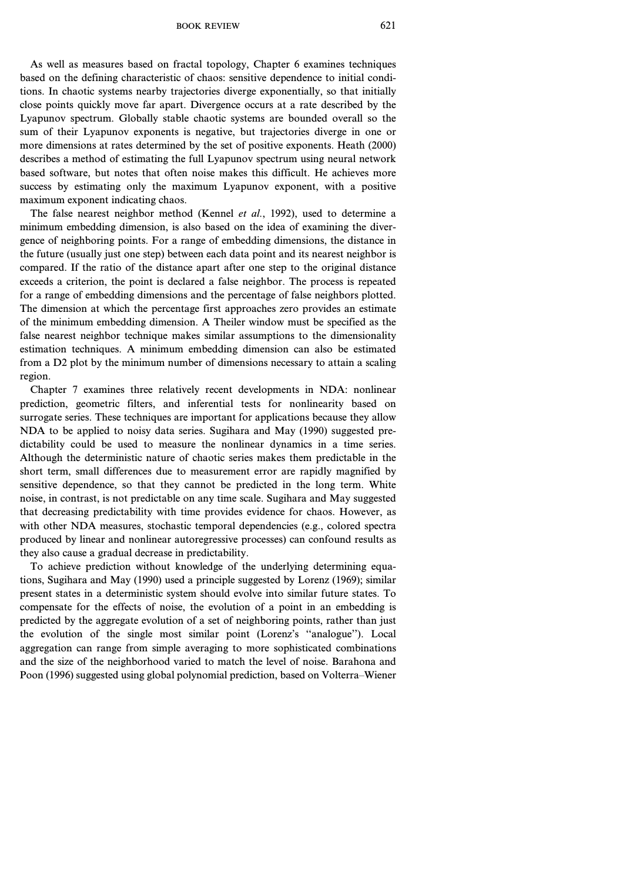As well as measures based on fractal topology, Chapter 6 examines techniques based on the defining characteristic of chaos: sensitive dependence to initial conditions. In chaotic systems nearby trajectories diverge exponentially, so that initially close points quickly move far apart. Divergence occurs at a rate described by the Lyapunov spectrum. Globally stable chaotic systems are bounded overall so the sum of their Lyapunov exponents is negative, but trajectories diverge in one or more dimensions at rates determined by the set of positive exponents. Heath (2000) describes a method of estimating the full Lyapunov spectrum using neural network based software, but notes that often noise makes this difficult. He achieves more success by estimating only the maximum Lyapunov exponent, with a positive maximum exponent indicating chaos.

The false nearest neighbor method (Kennel *et al.*, 1992), used to determine a minimum embedding dimension, is also based on the idea of examining the divergence of neighboring points. For a range of embedding dimensions, the distance in the future (usually just one step) between each data point and its nearest neighbor is compared. If the ratio of the distance apart after one step to the original distance exceeds a criterion, the point is declared a false neighbor. The process is repeated for a range of embedding dimensions and the percentage of false neighbors plotted. The dimension at which the percentage first approaches zero provides an estimate of the minimum embedding dimension. A Theiler window must be specified as the false nearest neighbor technique makes similar assumptions to the dimensionality estimation techniques. A minimum embedding dimension can also be estimated from a D2 plot by the minimum number of dimensions necessary to attain a scaling region.

Chapter 7 examines three relatively recent developments in NDA: nonlinear prediction, geometric filters, and inferential tests for nonlinearity based on surrogate series. These techniques are important for applications because they allow NDA to be applied to noisy data series. Sugihara and May (1990) suggested predictability could be used to measure the nonlinear dynamics in a time series. Although the deterministic nature of chaotic series makes them predictable in the short term, small differences due to measurement error are rapidly magnified by sensitive dependence, so that they cannot be predicted in the long term. White noise, in contrast, is not predictable on any time scale. Sugihara and May suggested that decreasing predictability with time provides evidence for chaos. However, as with other NDA measures, stochastic temporal dependencies (e.g., colored spectra produced by linear and nonlinear autoregressive processes) can confound results as they also cause a gradual decrease in predictability.

To achieve prediction without knowledge of the underlying determining equations, Sugihara and May (1990) used a principle suggested by Lorenz (1969); similar present states in a deterministic system should evolve into similar future states. To compensate for the effects of noise, the evolution of a point in an embedding is predicted by the aggregate evolution of a set of neighboring points, rather than just the evolution of the single most similar point (Lorenz's ''analogue''). Local aggregation can range from simple averaging to more sophisticated combinations and the size of the neighborhood varied to match the level of noise. Barahona and Poon (1996) suggested using global polynomial prediction, based on Volterra–Wiener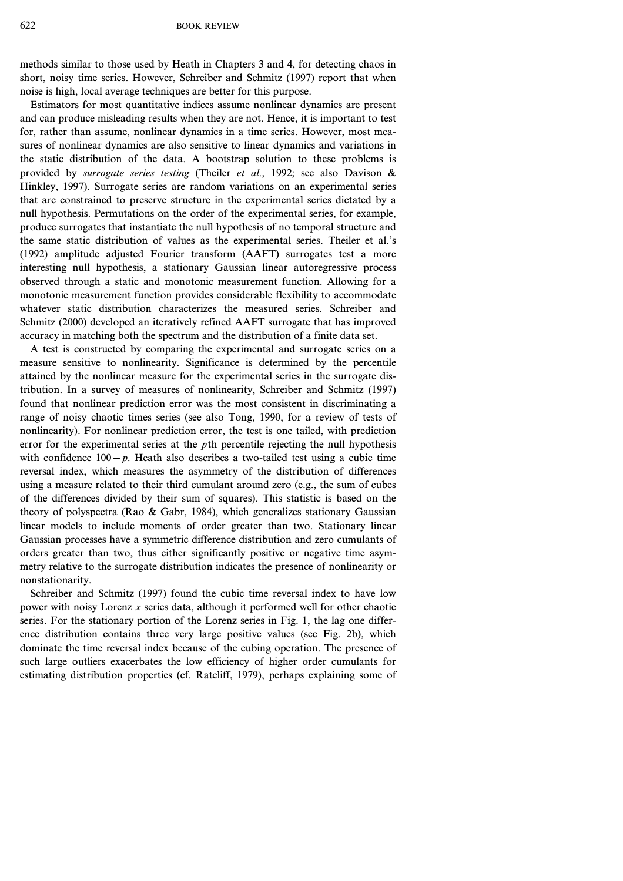methods similar to those used by Heath in Chapters 3 and 4, for detecting chaos in short, noisy time series. However, Schreiber and Schmitz (1997) report that when noise is high, local average techniques are better for this purpose.

Estimators for most quantitative indices assume nonlinear dynamics are present and can produce misleading results when they are not. Hence, it is important to test for, rather than assume, nonlinear dynamics in a time series. However, most measures of nonlinear dynamics are also sensitive to linear dynamics and variations in the static distribution of the data. A bootstrap solution to these problems is provided by *surrogate series testing* (Theiler *et al.*, 1992; see also Davison & Hinkley, 1997). Surrogate series are random variations on an experimental series that are constrained to preserve structure in the experimental series dictated by a null hypothesis. Permutations on the order of the experimental series, for example, produce surrogates that instantiate the null hypothesis of no temporal structure and the same static distribution of values as the experimental series. Theiler et al.'s (1992) amplitude adjusted Fourier transform (AAFT) surrogates test a more interesting null hypothesis, a stationary Gaussian linear autoregressive process observed through a static and monotonic measurement function. Allowing for a monotonic measurement function provides considerable flexibility to accommodate whatever static distribution characterizes the measured series. Schreiber and Schmitz (2000) developed an iteratively refined AAFT surrogate that has improved accuracy in matching both the spectrum and the distribution of a finite data set.

A test is constructed by comparing the experimental and surrogate series on a measure sensitive to nonlinearity. Significance is determined by the percentile attained by the nonlinear measure for the experimental series in the surrogate distribution. In a survey of measures of nonlinearity, Schreiber and Schmitz (1997) found that nonlinear prediction error was the most consistent in discriminating a range of noisy chaotic times series (see also Tong, 1990, for a review of tests of nonlinearity). For nonlinear prediction error, the test is one tailed, with prediction error for the experimental series at the *p*th percentile rejecting the null hypothesis with confidence *100 − p*. Heath also describes a two-tailed test using a cubic time reversal index, which measures the asymmetry of the distribution of differences using a measure related to their third cumulant around zero (e.g., the sum of cubes of the differences divided by their sum of squares). This statistic is based on the theory of polyspectra (Rao & Gabr, 1984), which generalizes stationary Gaussian linear models to include moments of order greater than two. Stationary linear Gaussian processes have a symmetric difference distribution and zero cumulants of orders greater than two, thus either significantly positive or negative time asymmetry relative to the surrogate distribution indicates the presence of nonlinearity or nonstationarity.

Schreiber and Schmitz (1997) found the cubic time reversal index to have low power with noisy Lorenz *x* series data, although it performed well for other chaotic series. For the stationary portion of the Lorenz series in Fig. 1, the lag one difference distribution contains three very large positive values (see Fig. 2b), which dominate the time reversal index because of the cubing operation. The presence of such large outliers exacerbates the low efficiency of higher order cumulants for estimating distribution properties (cf. Ratcliff, 1979), perhaps explaining some of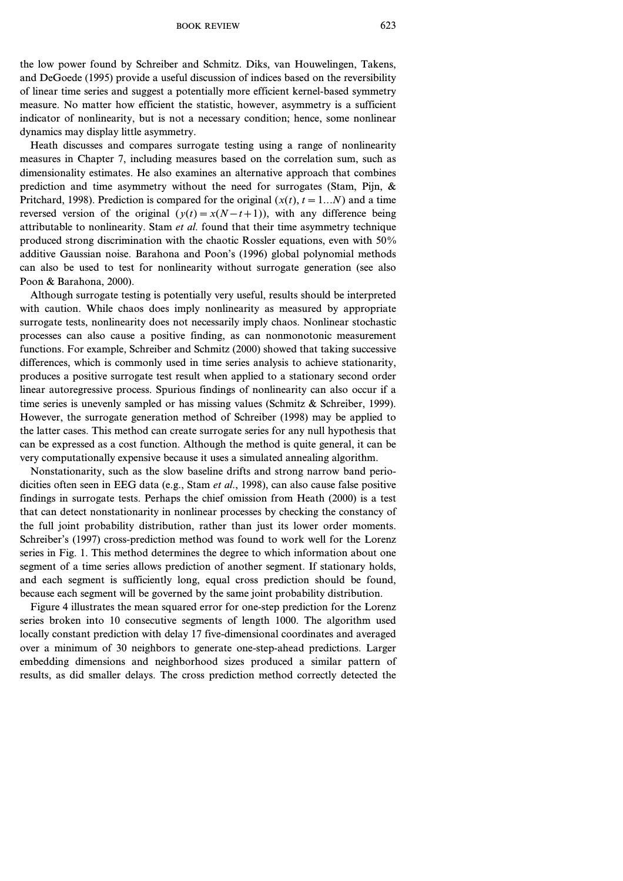the low power found by Schreiber and Schmitz. Diks, van Houwelingen, Takens, and DeGoede (1995) provide a useful discussion of indices based on the reversibility of linear time series and suggest a potentially more efficient kernel-based symmetry measure. No matter how efficient the statistic, however, asymmetry is a sufficient indicator of nonlinearity, but is not a necessary condition; hence, some nonlinear dynamics may display little asymmetry.

Heath discusses and compares surrogate testing using a range of nonlinearity measures in Chapter 7, including measures based on the correlation sum, such as dimensionality estimates. He also examines an alternative approach that combines prediction and time asymmetry without the need for surrogates (Stam, Pijn, & Pritchard, 1998). Prediction is compared for the original  $(x(t), t = 1...N)$  and a time reversed version of the original  $(y(t) = x(N - t + 1))$ , with any difference being attributable to nonlinearity. Stam *et al.* found that their time asymmetry technique produced strong discrimination with the chaotic Rossler equations, even with 50% additive Gaussian noise. Barahona and Poon's (1996) global polynomial methods can also be used to test for nonlinearity without surrogate generation (see also Poon & Barahona, 2000).

Although surrogate testing is potentially very useful, results should be interpreted with caution. While chaos does imply nonlinearity as measured by appropriate surrogate tests, nonlinearity does not necessarily imply chaos. Nonlinear stochastic processes can also cause a positive finding, as can nonmonotonic measurement functions. For example, Schreiber and Schmitz (2000) showed that taking successive differences, which is commonly used in time series analysis to achieve stationarity, produces a positive surrogate test result when applied to a stationary second order linear autoregressive process. Spurious findings of nonlinearity can also occur if a time series is unevenly sampled or has missing values (Schmitz & Schreiber, 1999). However, the surrogate generation method of Schreiber (1998) may be applied to the latter cases. This method can create surrogate series for any null hypothesis that can be expressed as a cost function. Although the method is quite general, it can be very computationally expensive because it uses a simulated annealing algorithm.

Nonstationarity, such as the slow baseline drifts and strong narrow band periodicities often seen in EEG data (e.g., Stam *et al.*, 1998), can also cause false positive findings in surrogate tests. Perhaps the chief omission from Heath (2000) is a test that can detect nonstationarity in nonlinear processes by checking the constancy of the full joint probability distribution, rather than just its lower order moments. Schreiber's (1997) cross-prediction method was found to work well for the Lorenz series in Fig. 1. This method determines the degree to which information about one segment of a time series allows prediction of another segment. If stationary holds, and each segment is sufficiently long, equal cross prediction should be found, because each segment will be governed by the same joint probability distribution.

Figure 4 illustrates the mean squared error for one-step prediction for the Lorenz series broken into 10 consecutive segments of length 1000. The algorithm used locally constant prediction with delay 17 five-dimensional coordinates and averaged over a minimum of 30 neighbors to generate one-step-ahead predictions. Larger embedding dimensions and neighborhood sizes produced a similar pattern of results, as did smaller delays. The cross prediction method correctly detected the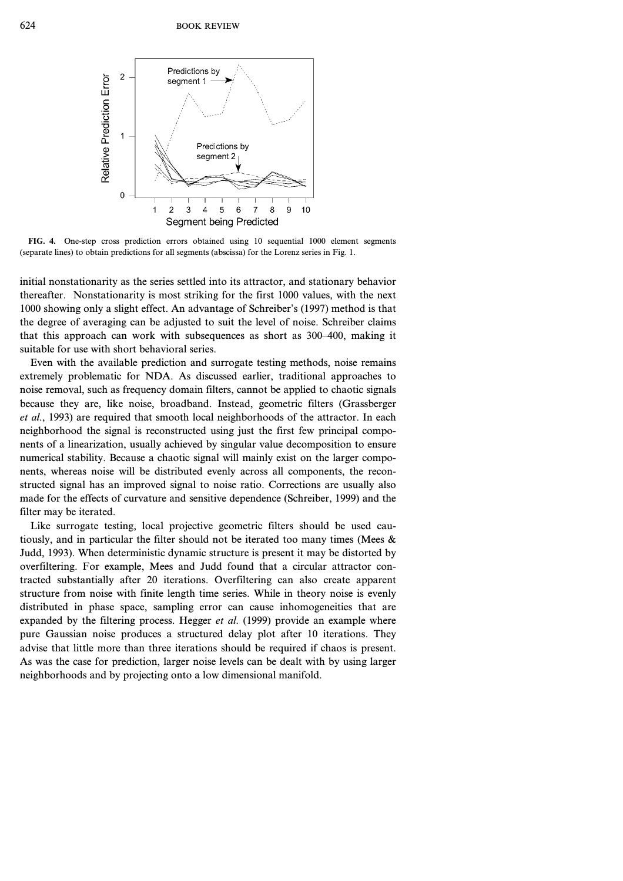

**FIG. 4.** One-step cross prediction errors obtained using 10 sequential 1000 element segments (separate lines) to obtain predictions for all segments (abscissa) for the Lorenz series in Fig. 1.

initial nonstationarity as the series settled into its attractor, and stationary behavior thereafter. Nonstationarity is most striking for the first 1000 values, with the next 1000 showing only a slight effect. An advantage of Schreiber's (1997) method is that the degree of averaging can be adjusted to suit the level of noise. Schreiber claims that this approach can work with subsequences as short as 300–400, making it suitable for use with short behavioral series.

Even with the available prediction and surrogate testing methods, noise remains extremely problematic for NDA. As discussed earlier, traditional approaches to noise removal, such as frequency domain filters, cannot be applied to chaotic signals because they are, like noise, broadband. Instead, geometric filters (Grassberger *et al.*, 1993) are required that smooth local neighborhoods of the attractor. In each neighborhood the signal is reconstructed using just the first few principal components of a linearization, usually achieved by singular value decomposition to ensure numerical stability. Because a chaotic signal will mainly exist on the larger components, whereas noise will be distributed evenly across all components, the reconstructed signal has an improved signal to noise ratio. Corrections are usually also made for the effects of curvature and sensitive dependence (Schreiber, 1999) and the filter may be iterated.

Like surrogate testing, local projective geometric filters should be used cautiously, and in particular the filter should not be iterated too many times (Mees  $\&$ Judd, 1993). When deterministic dynamic structure is present it may be distorted by overfiltering. For example, Mees and Judd found that a circular attractor contracted substantially after 20 iterations. Overfiltering can also create apparent structure from noise with finite length time series. While in theory noise is evenly distributed in phase space, sampling error can cause inhomogeneities that are expanded by the filtering process. Hegger *et al.* (1999) provide an example where pure Gaussian noise produces a structured delay plot after 10 iterations. They advise that little more than three iterations should be required if chaos is present. As was the case for prediction, larger noise levels can be dealt with by using larger neighborhoods and by projecting onto a low dimensional manifold.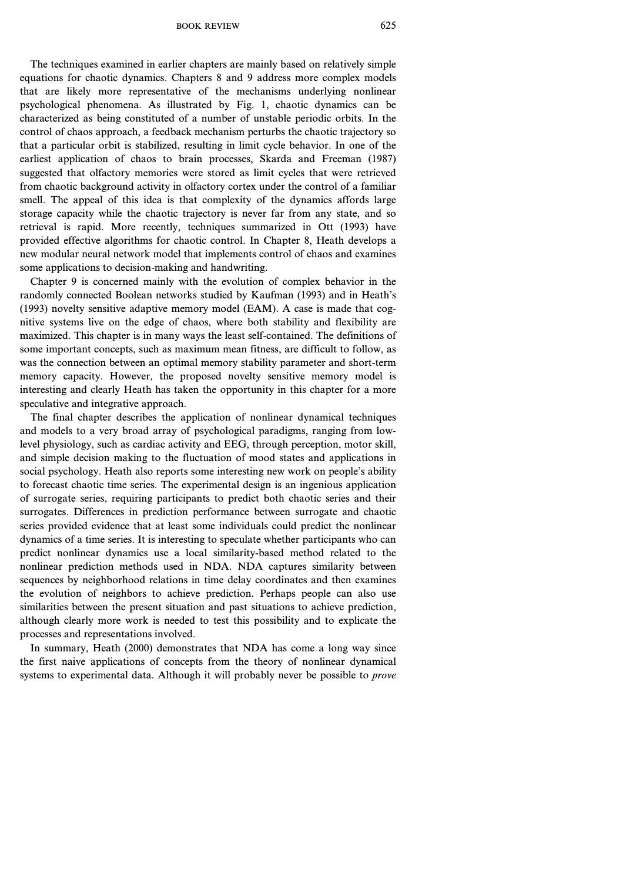The techniques examined in earlier chapters are mainly based on relatively simple equations for chaotic dynamics. Chapters 8 and 9 address more complex models that are likely more representative of the mechanisms underlying nonlinear psychological phenomena. As illustrated by Fig. 1, chaotic dynamics can be characterized as being constituted of a number of unstable periodic orbits. In the control of chaos approach, a feedback mechanism perturbs the chaotic trajectory so that a particular orbit is stabilized, resulting in limit cycle behavior. In one of the earliest application of chaos to brain processes, Skarda and Freeman (1987) suggested that olfactory memories were stored as limit cycles that were retrieved from chaotic background activity in olfactory cortex under the control of a familiar smell. The appeal of this idea is that complexity of the dynamics affords large storage capacity while the chaotic trajectory is never far from any state, and so retrieval is rapid. More recently, techniques summarized in Ott (1993) have provided effective algorithms for chaotic control. In Chapter 8, Heath develops a new modular neural network model that implements control of chaos and examines some applications to decision-making and handwriting.

Chapter 9 is concerned mainly with the evolution of complex behavior in the randomly connected Boolean networks studied by Kaufman (1993) and in Heath's (1993) novelty sensitive adaptive memory model (EAM). A case is made that cognitive systems live on the edge of chaos, where both stability and flexibility are maximized. This chapter is in many ways the least self-contained. The definitions of some important concepts, such as maximum mean fitness, are difficult to follow, as was the connection between an optimal memory stability parameter and short-term memory capacity. However, the proposed novelty sensitive memory model is interesting and clearly Heath has taken the opportunity in this chapter for a more speculative and integrative approach.

The final chapter describes the application of nonlinear dynamical techniques and models to a very broad array of psychological paradigms, ranging from lowlevel physiology, such as cardiac activity and EEG, through perception, motor skill, and simple decision making to the fluctuation of mood states and applications in social psychology. Heath also reports some interesting new work on people's ability to forecast chaotic time series. The experimental design is an ingenious application of surrogate series, requiring participants to predict both chaotic series and their surrogates. Differences in prediction performance between surrogate and chaotic series provided evidence that at least some individuals could predict the nonlinear dynamics of a time series. It is interesting to speculate whether participants who can predict nonlinear dynamics use a local similarity-based method related to the nonlinear prediction methods used in NDA. NDA captures similarity between sequences by neighborhood relations in time delay coordinates and then examines the evolution of neighbors to achieve prediction. Perhaps people can also use similarities between the present situation and past situations to achieve prediction, although clearly more work is needed to test this possibility and to explicate the processes and representations involved.

In summary, Heath (2000) demonstrates that NDA has come a long way since the first naive applications of concepts from the theory of nonlinear dynamical systems to experimental data. Although it will probably never be possible to *prove*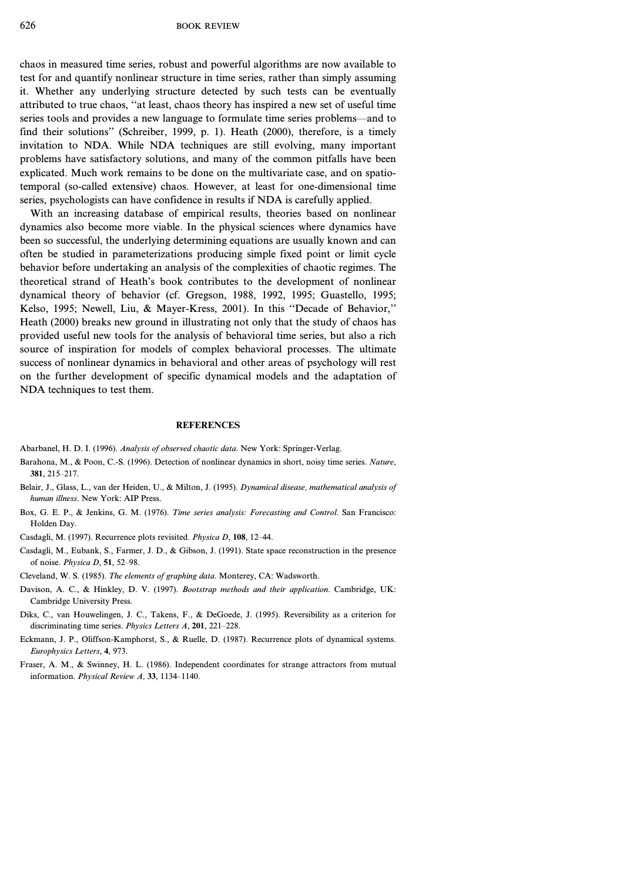chaos in measured time series, robust and powerful algorithms are now available to test for and quantify nonlinear structure in time series, rather than simply assuming it. Whether any underlying structure detected by such tests can be eventually attributed to true chaos, ''at least, chaos theory has inspired a new set of useful time series tools and provides a new language to formulate time series problems—and to find their solutions'' (Schreiber, 1999, p. 1). Heath (2000), therefore, is a timely invitation to NDA. While NDA techniques are still evolving, many important problems have satisfactory solutions, and many of the common pitfalls have been explicated. Much work remains to be done on the multivariate case, and on spatiotemporal (so-called extensive) chaos. However, at least for one-dimensional time series, psychologists can have confidence in results if NDA is carefully applied.

With an increasing database of empirical results, theories based on nonlinear dynamics also become more viable. In the physical sciences where dynamics have been so successful, the underlying determining equations are usually known and can often be studied in parameterizations producing simple fixed point or limit cycle behavior before undertaking an analysis of the complexities of chaotic regimes. The theoretical strand of Heath's book contributes to the development of nonlinear dynamical theory of behavior (cf. Gregson, 1988, 1992, 1995; Guastello, 1995; Kelso, 1995; Newell, Liu, & Mayer-Kress, 2001). In this ''Decade of Behavior,'' Heath (2000) breaks new ground in illustrating not only that the study of chaos has provided useful new tools for the analysis of behavioral time series, but also a rich source of inspiration for models of complex behavioral processes. The ultimate success of nonlinear dynamics in behavioral and other areas of psychology will rest on the further development of specific dynamical models and the adaptation of NDA techniques to test them.

#### **REFERENCES**

- Abarbanel, H. D. I. (1996). *Analysis of observed chaotic data*. New York: Springer-Verlag.
- Barahona, M., & Poon, C.-S. (1996). Detection of nonlinear dynamics in short, noisy time series. *Nature*, **381**, 215–217.
- Belair, J., Glass, L., van der Heiden, U., & Milton, J. (1995). *Dynamical disease, mathematical analysis of human illness*. New York: AIP Press.
- Box, G. E. P., & Jenkins, G. M. (1976). *Time series analysis: Forecasting and Control*. San Francisco: Holden Day.
- Casdagli, M. (1997). Recurrence plots revisited. *Physica D*, **108**, 12–44.
- Casdagli, M., Eubank, S., Farmer, J. D., & Gibson, J. (1991). State space reconstruction in the presence of noise. *Physica D*, **51**, 52–98.
- Cleveland, W. S. (1985). *The elements of graphing data*. Monterey, CA: Wadsworth.
- Davison, A. C., & Hinkley, D. V. (1997). *Bootstrap methods and their application*. Cambridge, UK: Cambridge University Press.
- Diks, C., van Houwelingen, J. C., Takens, F., & DeGoede, J. (1995). Reversibility as a criterion for discriminating time series. *Physics Letters A*, **201**, 221–228.
- Eckmann, J. P., Oliffson-Kamphorst, S., & Ruelle, D. (1987). Recurrence plots of dynamical systems. *Europhysics Letters*, **4**, 973.
- Fraser, A. M., & Swinney, H. L. (1986). Independent coordinates for strange attractors from mutual information. *Physical Review A,* **33**, 1134–1140.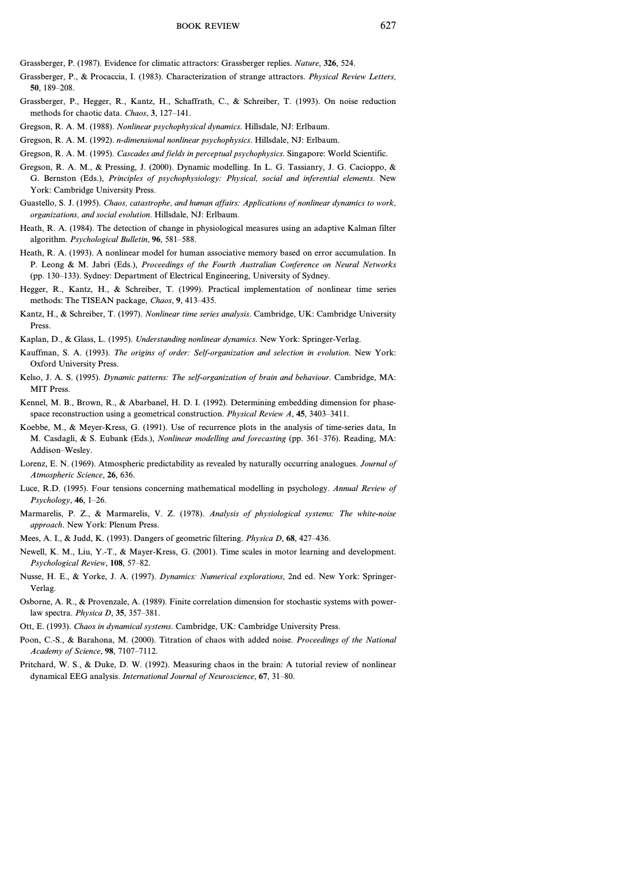Grassberger, P. (1987). Evidence for climatic attractors: Grassberger replies. *Nature*, **326**, 524.

- Grassberger, P., & Procaccia, I. (1983). Characterization of strange attractors. *Physical Review Letters,* **50**, 189–208.
- Grassberger, P., Hegger, R., Kantz, H., Schaffrath, C., & Schreiber, T. (1993). On noise reduction methods for chaotic data. *Chaos*, **3**, 127–141.
- Gregson, R. A. M. (1988). *Nonlinear psychophysical dynamics*. Hillsdale, NJ: Erlbaum.
- Gregson, R. A. M. (1992). *n-dimensional nonlinear psychophysics*. Hillsdale, NJ: Erlbaum.
- Gregson, R. A. M. (1995). *Cascades and fields in perceptual psychophysics*. Singapore: World Scientific.
- Gregson, R. A. M., & Pressing, J. (2000). Dynamic modelling. In L. G. Tassianry, J. G. Cacioppo, & G. Bernston (Eds.), *Principles of psychophysiology: Physical, social and inferential elements*. New York: Cambridge University Press.
- Guastello, S. J. (1995). *Chaos, catastrophe, and human affairs: Applications of nonlinear dynamics to work, organizations, and social evolution*. Hillsdale, NJ: Erlbaum.
- Heath, R. A. (1984). The detection of change in physiological measures using an adaptive Kalman filter algorithm. *Psychological Bulletin*, **96**, 581–588.
- Heath, R. A. (1993). A nonlinear model for human associative memory based on error accumulation. In P. Leong & M. Jabri (Eds.), *Proceedings of the Fourth Australian Conference on Neural Networks* (pp. 130–133). Sydney: Department of Electrical Engineering, University of Sydney.
- Hegger, R., Kantz, H., & Schreiber, T. (1999). Practical implementation of nonlinear time series methods: The TISEAN package, *Chaos*, **9**, 413–435.
- Kantz, H., & Schreiber, T. (1997). *Nonlinear time series analysis*. Cambridge, UK: Cambridge University Press.
- Kaplan, D., & Glass, L. (1995). *Understanding nonlinear dynamics*. New York: Springer-Verlag.
- Kauffman, S. A. (1993). *The origins of order: Self-organization and selection in evolution*. New York: Oxford University Press.
- Kelso, J. A. S. (1995). *Dynamic patterns: The self-organization of brain and behaviour*. Cambridge, MA: MIT Press.
- Kennel, M. B., Brown, R., & Abarbanel, H. D. I. (1992). Determining embedding dimension for phasespace reconstruction using a geometrical construction. *Physical Review A*, **45**, 3403–3411.
- Koebbe, M., & Meyer-Kress, G. (1991). Use of recurrence plots in the analysis of time-series data, In M. Casdagli, & S. Eubank (Eds.), *Nonlinear modelling and forecasting* (pp. 361–376). Reading, MA: Addison–Wesley.
- Lorenz, E. N. (1969). Atmospheric predictability as revealed by naturally occurring analogues. *Journal of Atmospheric Science*, **26**, 636.
- Luce, R.D. (1995). Four tensions concerning mathematical modelling in psychology. *Annual Review of Psychology*, **46**, 1–26.
- Marmarelis, P. Z., & Marmarelis, V. Z. (1978). *Analysis of physiological systems: The white-noise approach*. New York: Plenum Press.
- Mees, A. I., & Judd, K. (1993). Dangers of geometric filtering. *Physica D*, **68**, 427–436.
- Newell, K. M., Liu, Y.-T., & Mayer-Kress, G. (2001). Time scales in motor learning and development. *Psychological Review*, **108**, 57–82.
- Nusse, H. E., & Yorke, J. A. (1997). *Dynamics: Numerical explorations*, 2nd ed. New York: Springer-Verlag.
- Osborne, A. R., & Provenzale, A. (1989). Finite correlation dimension for stochastic systems with powerlaw spectra. *Physica D*, **35**, 357–381.
- Ott, E. (1993). *Chaos in dynamical systems*. Cambridge, UK: Cambridge University Press.
- Poon, C.-S., & Barahona, M. (2000). Titration of chaos with added noise. *Proceedings of the National Academy of Science*, **98**, 7107–7112.
- Pritchard, W. S., & Duke, D. W. (1992). Measuring chaos in the brain: A tutorial review of nonlinear dynamical EEG analysis. *International Journal of Neuroscience*, **67**, 31–80.